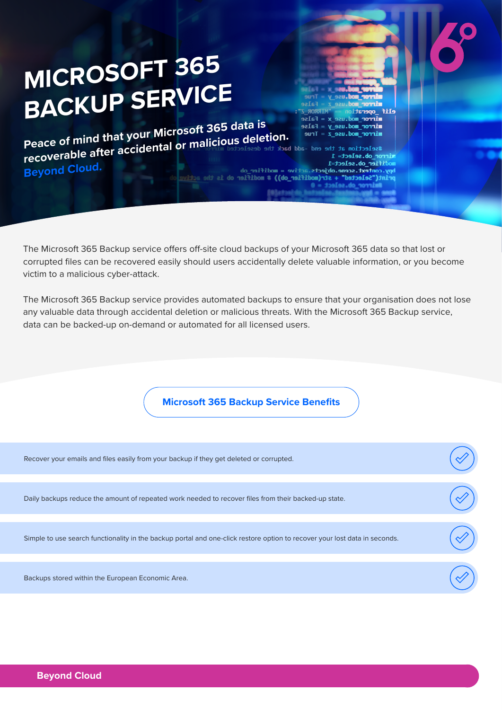# **MICROSOFT 365 BACKUP SERVICE**

**Peace of mind that your Microsoft 365 data is**<br>**Peace of mind that your Microsoft 365 data is a selection.**<br>#selection at the end -add back the deselected mirror mod.use  $y =$  False mirror\_mod.use\_z = Irue<br>
#selection at the end -add back the deselected mi**nity of Constantine and Soft Science**<br>
modifier\_ob.select=1<br>
bpy.context.scene.objects.active = modifier\_ob<br>
bpy.context.scene.objects.active = mod  $mirror$  mod.use\_z = True **Beyond Cloud.**

The Microsoft 365 Backup service offers off-site cloud backups of your Microsoft 365 data so that lost or corrupted files can be recovered easily should users accidentally delete valuable information, or you become victim to a malicious cyber-attack.

+ str(modifier\_ob)) # modifier ob is

elif \_operati

mirror mod.us

or ob.select= 1 odifier\_ob.select=1

"Selected"

**ROBATI**  $\mathbf{x} = \mathbf{False}$ 

The Microsoft 365 Backup service provides automated backups to ensure that your organisation does not lose any valuable data through accidental deletion or malicious threats. With the Microsoft 365 Backup service, data can be backed-up on-demand or automated for all licensed users.

**Microsoft 365 Backup Service Benefits**

| Recover your emails and files easily from your backup if they get deleted or corrupted.                                    |  |
|----------------------------------------------------------------------------------------------------------------------------|--|
|                                                                                                                            |  |
| Daily backups reduce the amount of repeated work needed to recover files from their backed-up state.                       |  |
|                                                                                                                            |  |
| Simple to use search functionality in the backup portal and one-click restore option to recover your lost data in seconds. |  |
|                                                                                                                            |  |
| Backups stored within the European Economic Area.                                                                          |  |